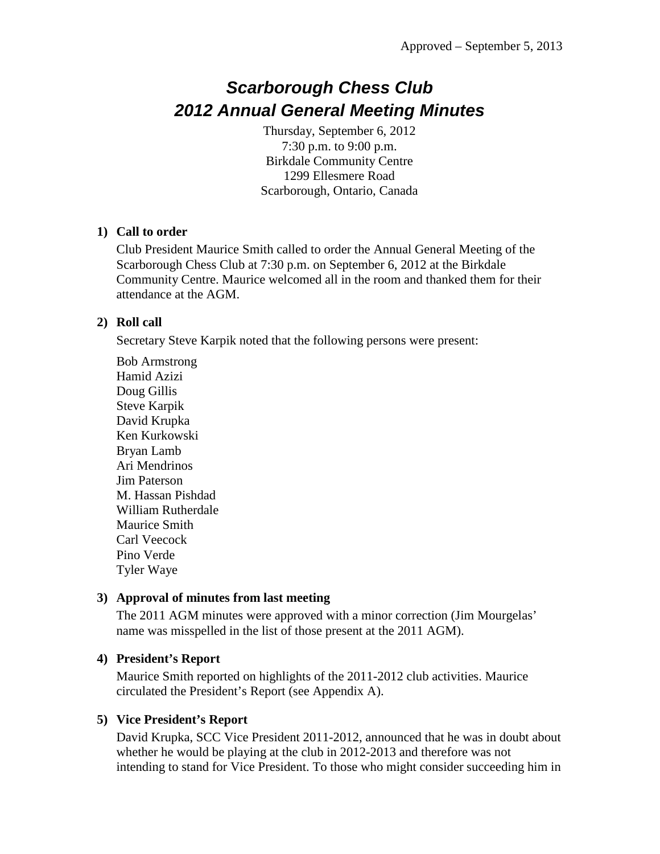# *Scarborough Chess Club 2012 Annual General Meeting Minutes*

Thursday, September 6, 2012 7:30 p.m. to 9:00 p.m. Birkdale Community Centre 1299 Ellesmere Road Scarborough, Ontario, Canada

#### **1) Call to order**

Club President Maurice Smith called to order the Annual General Meeting of the Scarborough Chess Club at 7:30 p.m. on September 6, 2012 at the Birkdale Community Centre. Maurice welcomed all in the room and thanked them for their attendance at the AGM.

#### **2) Roll call**

Secretary Steve Karpik noted that the following persons were present:

Bob Armstrong Hamid Azizi Doug Gillis Steve Karpik David Krupka Ken Kurkowski Bryan Lamb Ari Mendrinos Jim Paterson M. Hassan Pishdad William Rutherdale Maurice Smith Carl Veecock Pino Verde Tyler Waye

#### **3) Approval of minutes from last meeting**

The 2011 AGM minutes were approved with a minor correction (Jim Mourgelas' name was misspelled in the list of those present at the 2011 AGM).

#### **4) President's Report**

Maurice Smith reported on highlights of the 2011-2012 club activities. Maurice circulated the President's Report (see Appendix A).

#### **5) Vice President's Report**

David Krupka, SCC Vice President 2011-2012, announced that he was in doubt about whether he would be playing at the club in 2012-2013 and therefore was not intending to stand for Vice President. To those who might consider succeeding him in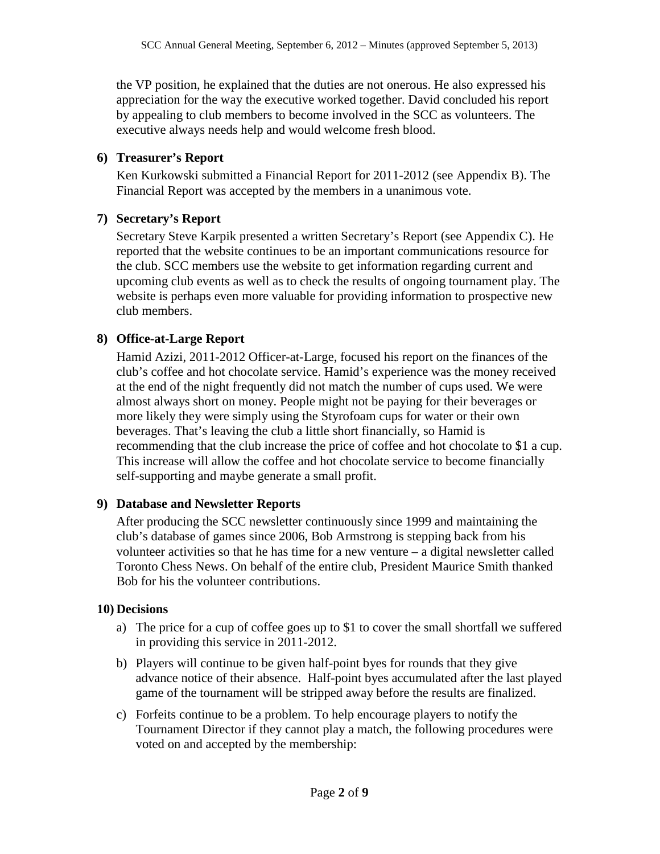the VP position, he explained that the duties are not onerous. He also expressed his appreciation for the way the executive worked together. David concluded his report by appealing to club members to become involved in the SCC as volunteers. The executive always needs help and would welcome fresh blood.

#### **6) Treasurer's Report**

Ken Kurkowski submitted a Financial Report for 2011-2012 (see Appendix B). The Financial Report was accepted by the members in a unanimous vote.

#### **7) Secretary's Report**

Secretary Steve Karpik presented a written Secretary's Report (see Appendix C). He reported that the website continues to be an important communications resource for the club. SCC members use the website to get information regarding current and upcoming club events as well as to check the results of ongoing tournament play. The website is perhaps even more valuable for providing information to prospective new club members.

#### **8) Office-at-Large Report**

Hamid Azizi, 2011-2012 Officer-at-Large, focused his report on the finances of the club's coffee and hot chocolate service. Hamid's experience was the money received at the end of the night frequently did not match the number of cups used. We were almost always short on money. People might not be paying for their beverages or more likely they were simply using the Styrofoam cups for water or their own beverages. That's leaving the club a little short financially, so Hamid is recommending that the club increase the price of coffee and hot chocolate to \$1 a cup. This increase will allow the coffee and hot chocolate service to become financially self-supporting and maybe generate a small profit.

#### **9) Database and Newsletter Reports**

After producing the SCC newsletter continuously since 1999 and maintaining the club's database of games since 2006, Bob Armstrong is stepping back from his volunteer activities so that he has time for a new venture – a digital newsletter called Toronto Chess News. On behalf of the entire club, President Maurice Smith thanked Bob for his the volunteer contributions.

#### **10) Decisions**

- a) The price for a cup of coffee goes up to \$1 to cover the small shortfall we suffered in providing this service in 2011-2012.
- b) Players will continue to be given half-point byes for rounds that they give advance notice of their absence. Half-point byes accumulated after the last played game of the tournament will be stripped away before the results are finalized.
- c) Forfeits continue to be a problem. To help encourage players to notify the Tournament Director if they cannot play a match, the following procedures were voted on and accepted by the membership: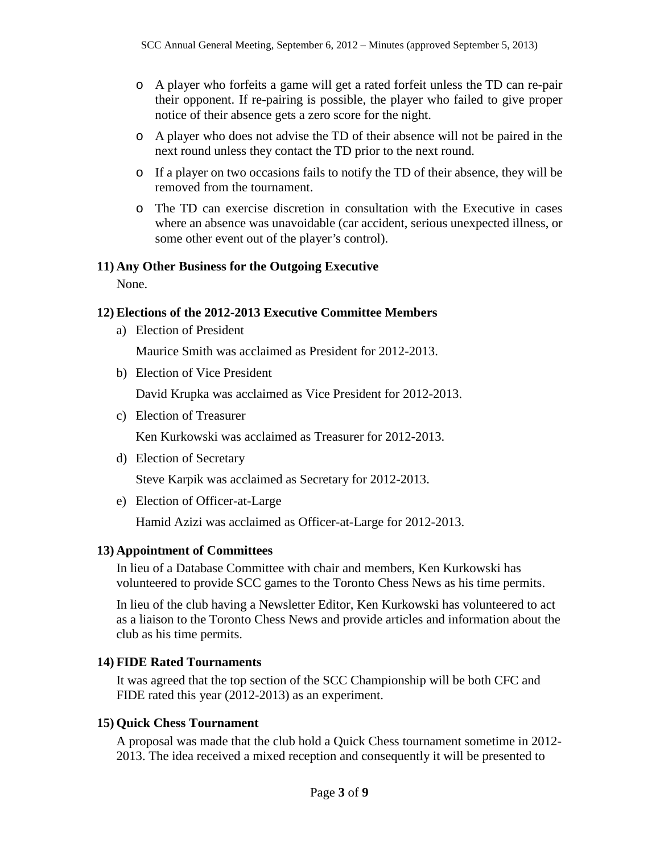- o A player who forfeits a game will get a rated forfeit unless the TD can re-pair their opponent. If re-pairing is possible, the player who failed to give proper notice of their absence gets a zero score for the night.
- o A player who does not advise the TD of their absence will not be paired in the next round unless they contact the TD prior to the next round.
- o If a player on two occasions fails to notify the TD of their absence, they will be removed from the tournament.
- o The TD can exercise discretion in consultation with the Executive in cases where an absence was unavoidable (car accident, serious unexpected illness, or some other event out of the player's control).

#### **11) Any Other Business for the Outgoing Executive**

None.

#### **12) Elections of the 2012-2013 Executive Committee Members**

a) Election of President

Maurice Smith was acclaimed as President for 2012-2013.

b) Election of Vice President

David Krupka was acclaimed as Vice President for 2012-2013.

c) Election of Treasurer

Ken Kurkowski was acclaimed as Treasurer for 2012-2013.

d) Election of Secretary

Steve Karpik was acclaimed as Secretary for 2012-2013.

e) Election of Officer-at-Large

Hamid Azizi was acclaimed as Officer-at-Large for 2012-2013.

#### **13) Appointment of Committees**

In lieu of a Database Committee with chair and members, Ken Kurkowski has volunteered to provide SCC games to the Toronto Chess News as his time permits.

In lieu of the club having a Newsletter Editor, Ken Kurkowski has volunteered to act as a liaison to the Toronto Chess News and provide articles and information about the club as his time permits.

#### **14) FIDE Rated Tournaments**

It was agreed that the top section of the SCC Championship will be both CFC and FIDE rated this year (2012-2013) as an experiment.

#### **15) Quick Chess Tournament**

A proposal was made that the club hold a Quick Chess tournament sometime in 2012- 2013. The idea received a mixed reception and consequently it will be presented to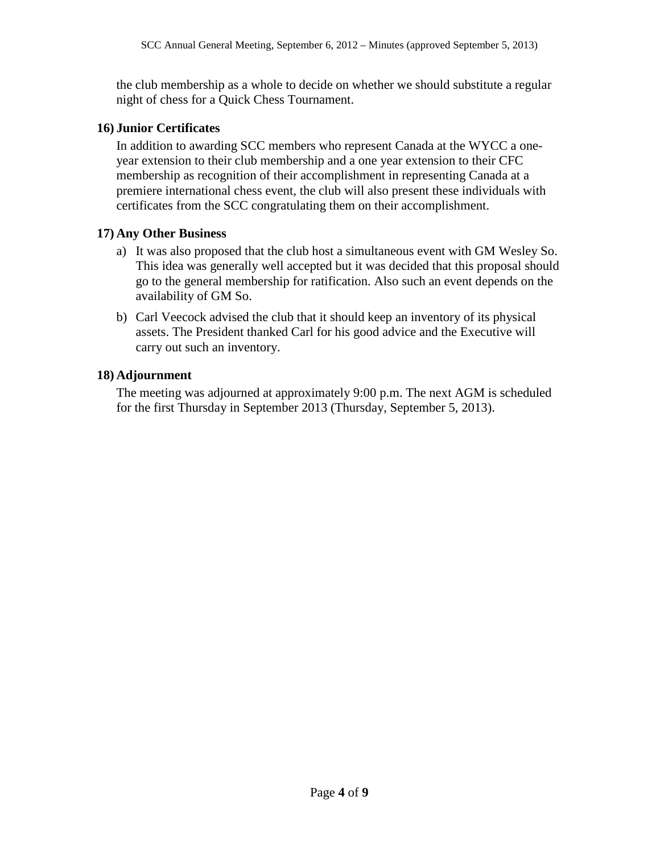the club membership as a whole to decide on whether we should substitute a regular night of chess for a Quick Chess Tournament.

#### **16) Junior Certificates**

In addition to awarding SCC members who represent Canada at the WYCC a oneyear extension to their club membership and a one year extension to their CFC membership as recognition of their accomplishment in representing Canada at a premiere international chess event, the club will also present these individuals with certificates from the SCC congratulating them on their accomplishment.

#### **17) Any Other Business**

- a) It was also proposed that the club host a simultaneous event with GM Wesley So. This idea was generally well accepted but it was decided that this proposal should go to the general membership for ratification. Also such an event depends on the availability of GM So.
- b) Carl Veecock advised the club that it should keep an inventory of its physical assets. The President thanked Carl for his good advice and the Executive will carry out such an inventory.

#### **18) Adjournment**

The meeting was adjourned at approximately 9:00 p.m. The next AGM is scheduled for the first Thursday in September 2013 (Thursday, September 5, 2013).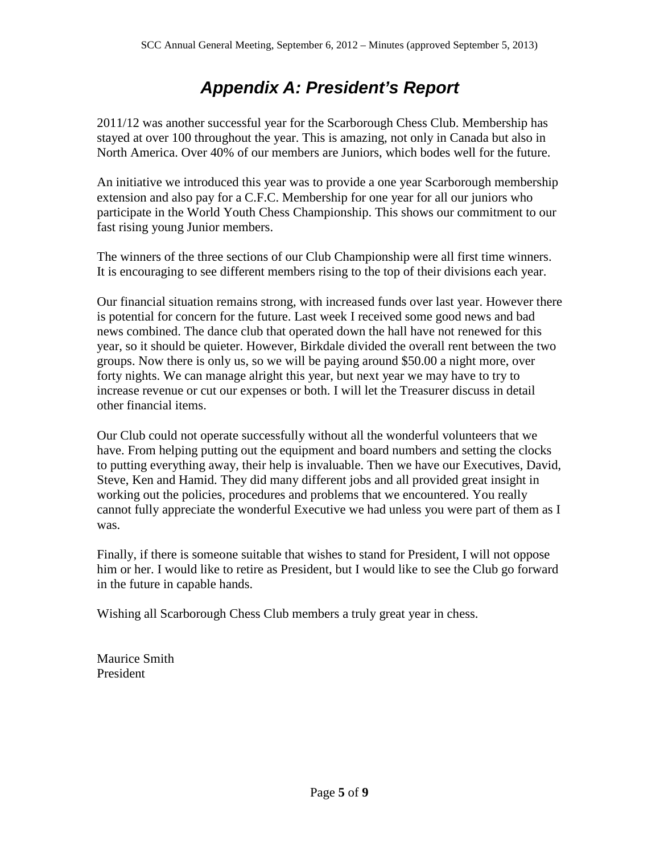## *Appendix A: President's Report*

2011/12 was another successful year for the Scarborough Chess Club. Membership has stayed at over 100 throughout the year. This is amazing, not only in Canada but also in North America. Over 40% of our members are Juniors, which bodes well for the future.

An initiative we introduced this year was to provide a one year Scarborough membership extension and also pay for a C.F.C. Membership for one year for all our juniors who participate in the World Youth Chess Championship. This shows our commitment to our fast rising young Junior members.

The winners of the three sections of our Club Championship were all first time winners. It is encouraging to see different members rising to the top of their divisions each year.

Our financial situation remains strong, with increased funds over last year. However there is potential for concern for the future. Last week I received some good news and bad news combined. The dance club that operated down the hall have not renewed for this year, so it should be quieter. However, Birkdale divided the overall rent between the two groups. Now there is only us, so we will be paying around \$50.00 a night more, over forty nights. We can manage alright this year, but next year we may have to try to increase revenue or cut our expenses or both. I will let the Treasurer discuss in detail other financial items.

Our Club could not operate successfully without all the wonderful volunteers that we have. From helping putting out the equipment and board numbers and setting the clocks to putting everything away, their help is invaluable. Then we have our Executives, David, Steve, Ken and Hamid. They did many different jobs and all provided great insight in working out the policies, procedures and problems that we encountered. You really cannot fully appreciate the wonderful Executive we had unless you were part of them as I was.

Finally, if there is someone suitable that wishes to stand for President, I will not oppose him or her. I would like to retire as President, but I would like to see the Club go forward in the future in capable hands.

Wishing all Scarborough Chess Club members a truly great year in chess.

Maurice Smith President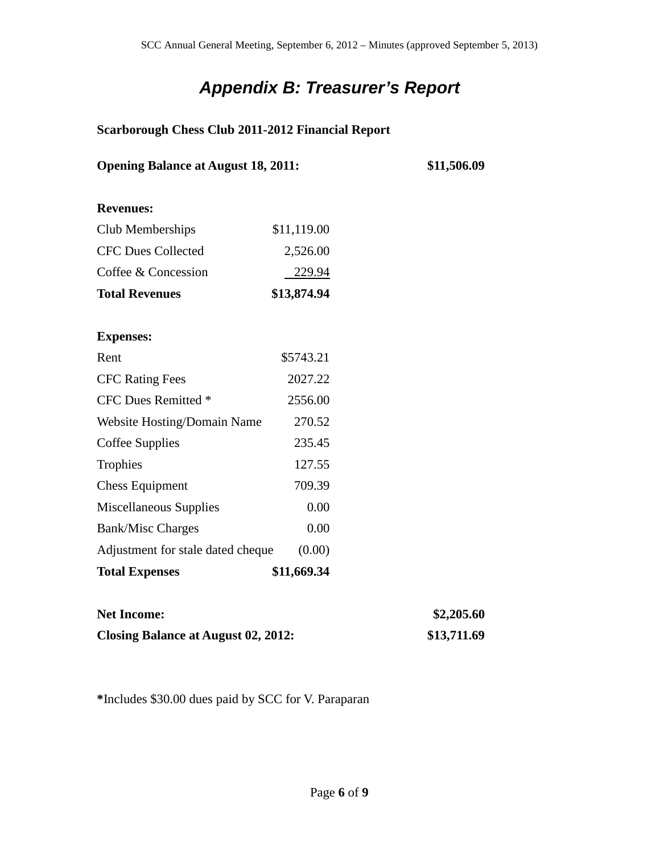# *Appendix B: Treasurer's Report*

### **Scarborough Chess Club 2011-2012 Financial Report**

| <b>Opening Balance at August 18, 2011:</b> |             | \$11,506.09 |
|--------------------------------------------|-------------|-------------|
| <b>Revenues:</b>                           |             |             |
| Club Memberships                           | \$11,119.00 |             |
| <b>CFC Dues Collected</b>                  | 2,526.00    |             |
| Coffee & Concession                        | 229.94      |             |
| <b>Total Revenues</b>                      | \$13,874.94 |             |
|                                            |             |             |
| <b>Expenses:</b>                           |             |             |
| Rent                                       | \$5743.21   |             |
| <b>CFC Rating Fees</b>                     | 2027.22     |             |
| CFC Dues Remitted *                        | 2556.00     |             |
| Website Hosting/Domain Name                | 270.52      |             |
| Coffee Supplies                            | 235.45      |             |
| Trophies                                   | 127.55      |             |
| <b>Chess Equipment</b>                     | 709.39      |             |
| Miscellaneous Supplies                     | 0.00        |             |
| <b>Bank/Misc Charges</b>                   | 0.00        |             |
| Adjustment for stale dated cheque          | (0.00)      |             |
| <b>Total Expenses</b>                      | \$11,669.34 |             |
| <b>Net Income:</b>                         |             | \$2,205.60  |
| <b>Closing Balance at August 02, 2012:</b> |             | \$13,711.69 |

**\***Includes \$30.00 dues paid by SCC for V. Paraparan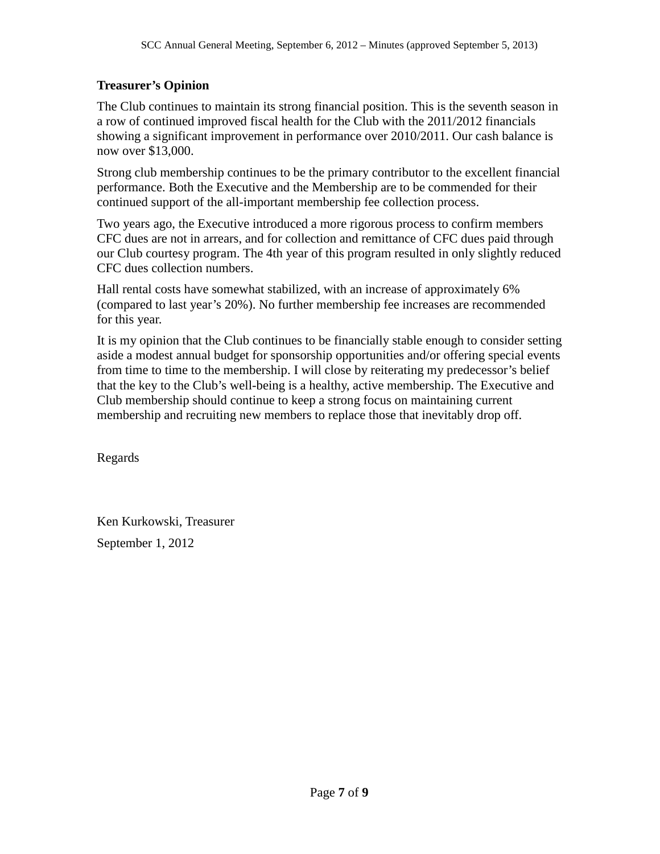### **Treasurer's Opinion**

The Club continues to maintain its strong financial position. This is the seventh season in a row of continued improved fiscal health for the Club with the 2011/2012 financials showing a significant improvement in performance over 2010/2011. Our cash balance is now over \$13,000.

Strong club membership continues to be the primary contributor to the excellent financial performance. Both the Executive and the Membership are to be commended for their continued support of the all-important membership fee collection process.

Two years ago, the Executive introduced a more rigorous process to confirm members CFC dues are not in arrears, and for collection and remittance of CFC dues paid through our Club courtesy program. The 4th year of this program resulted in only slightly reduced CFC dues collection numbers.

Hall rental costs have somewhat stabilized, with an increase of approximately 6% (compared to last year's 20%). No further membership fee increases are recommended for this year.

It is my opinion that the Club continues to be financially stable enough to consider setting aside a modest annual budget for sponsorship opportunities and/or offering special events from time to time to the membership. I will close by reiterating my predecessor's belief that the key to the Club's well-being is a healthy, active membership. The Executive and Club membership should continue to keep a strong focus on maintaining current membership and recruiting new members to replace those that inevitably drop off.

Regards

Ken Kurkowski, Treasurer September 1, 2012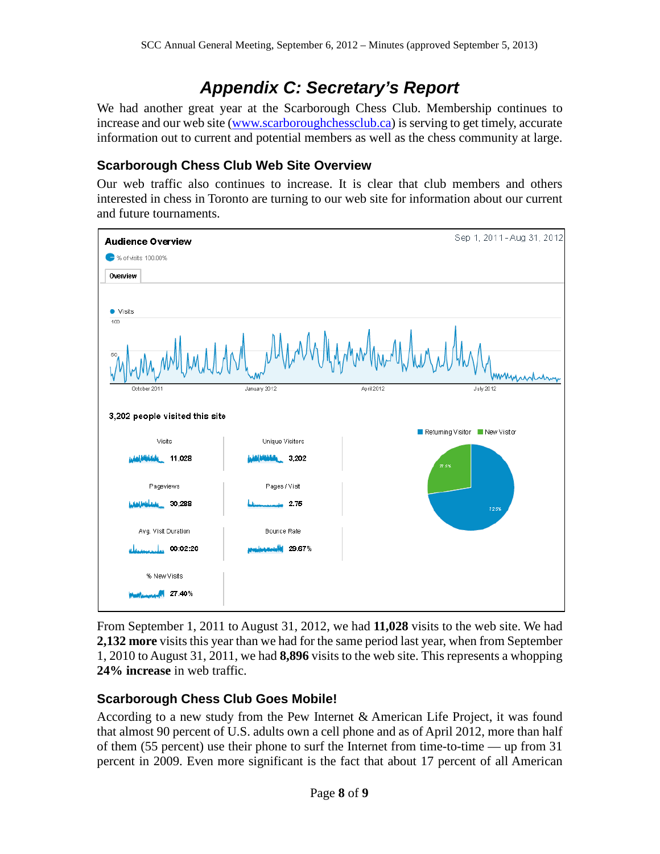## *Appendix C: Secretary's Report*

We had another great year at the Scarborough Chess Club. Membership continues to increase and our web site [\(www.scarboroughchessclub.ca\)](http://www.scarboroughchessclub.ca/) is serving to get timely, accurate information out to current and potential members as well as the chess community at large.

## **Scarborough Chess Club Web Site Overview**

Our web traffic also continues to increase. It is clear that club members and others interested in chess in Toronto are turning to our web site for information about our current and future tournaments.



From September 1, 2011 to August 31, 2012, we had **11,028** visits to the web site. We had **2,132 more** visits this year than we had for the same period last year, when from September 1, 2010 to August 31, 2011, we had **8,896** visits to the web site. This represents a whopping **24% increase** in web traffic.

## **Scarborough Chess Club Goes Mobile!**

According to a new study from the Pew Internet & American Life Project, it was found that almost 90 percent of U.S. adults own a cell phone and as of April 2012, more than half of them (55 percent) use their phone to surf the Internet from time-to-time — up from 31 percent in 2009. Even more significant is the fact that about 17 percent of all American